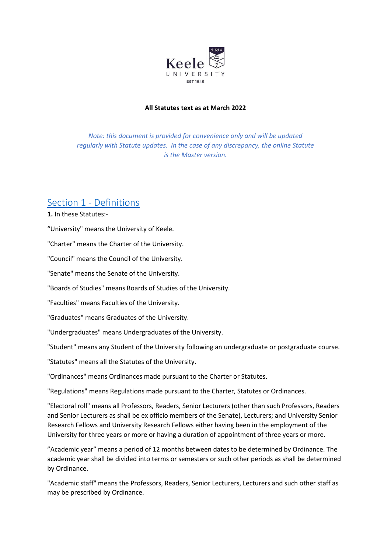

#### **All Statutes text as at March 2022**

*Note: this document is provided for convenience only and will be updated regularly with Statute updates. In the case of any discrepancy, the online Statute is the Master version.*

### Section 1 - [Definitions](https://www.keele.ac.uk/legalgovernancecompliance/governance/actcharterstatutesordinancesandregulations/universitystatutes/#section-1---definitions)

**1.** In these Statutes:-

"University" means the University of Keele.

"Charter" means the Charter of the University.

"Council" means the Council of the University.

"Senate" means the Senate of the University.

"Boards of Studies" means Boards of Studies of the University.

"Faculties" means Faculties of the University.

"Graduates" means Graduates of the University.

"Undergraduates" means Undergraduates of the University.

"Student" means any Student of the University following an undergraduate or postgraduate course.

"Statutes" means all the Statutes of the University.

"Ordinances" means Ordinances made pursuant to the Charter or Statutes.

"Regulations" means Regulations made pursuant to the Charter, Statutes or Ordinances.

"Electoral roll" means all Professors, Readers, Senior Lecturers (other than such Professors, Readers and Senior Lecturers as shall be ex officio members of the Senate), Lecturers; and University Senior Research Fellows and University Research Fellows either having been in the employment of the University for three years or more or having a duration of appointment of three years or more.

"Academic year" means a period of 12 months between dates to be determined by Ordinance. The academic year shall be divided into terms or semesters or such other periods as shall be determined by Ordinance.

"Academic staff" means the Professors, Readers, Senior Lecturers, Lecturers and such other staff as may be prescribed by Ordinance.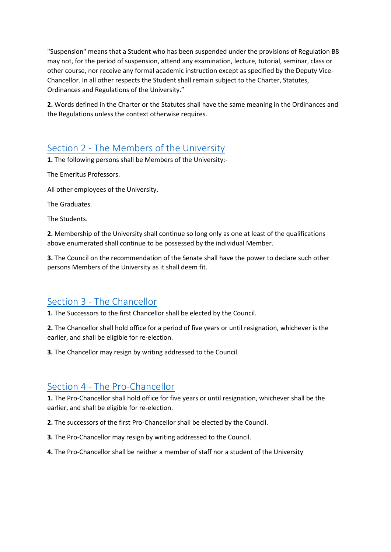"Suspension" means that a Student who has been suspended under the provisions of Regulation B8 may not, for the period of suspension, attend any examination, lecture, tutorial, seminar, class or other course, nor receive any formal academic instruction except as specified by the Deputy Vice-Chancellor. In all other respects the Student shall remain subject to the Charter, Statutes, Ordinances and Regulations of the University."

**2.** Words defined in the Charter or the Statutes shall have the same meaning in the Ordinances and the Regulations unless the context otherwise requires.

## Section 2 - [The Members of the University](https://www.keele.ac.uk/legalgovernancecompliance/governance/actcharterstatutesordinancesandregulations/universitystatutes/#section-2---the-members-of-the-university)

**1.** The following persons shall be Members of the University:-

The Emeritus Professors.

All other employees of the University.

The Graduates.

The Students.

**2.** Membership of the University shall continue so long only as one at least of the qualifications above enumerated shall continue to be possessed by the individual Member.

**3.** The Council on the recommendation of the Senate shall have the power to declare such other persons Members of the University as it shall deem fit.

### Section 3 - [The Chancellor](https://www.keele.ac.uk/legalgovernancecompliance/governance/actcharterstatutesordinancesandregulations/universitystatutes/#section-3---the-chancellor)

**1.** The Successors to the first Chancellor shall be elected by the Council.

**2.** The Chancellor shall hold office for a period of five years or until resignation, whichever is the earlier, and shall be eligible for re-election.

**3.** The Chancellor may resign by writing addressed to the Council.

### Section 4 - [The Pro-Chancellor](https://www.keele.ac.uk/legalgovernancecompliance/governance/actcharterstatutesordinancesandregulations/universitystatutes/#section-4---the-pro-chancellor)

**1.** The Pro-Chancellor shall hold office for five years or until resignation, whichever shall be the earlier, and shall be eligible for re-election.

- **2.** The successors of the first Pro-Chancellor shall be elected by the Council.
- **3.** The Pro-Chancellor may resign by writing addressed to the Council.
- **4.** The Pro-Chancellor shall be neither a member of staff nor a student of the University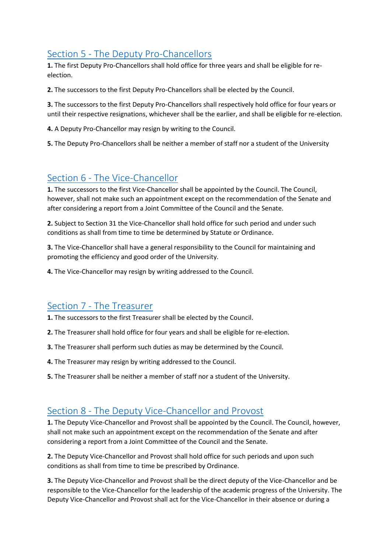# Section 5 - [The Deputy Pro-Chancellors](https://www.keele.ac.uk/legalgovernancecompliance/governance/actcharterstatutesordinancesandregulations/universitystatutes/#section-5---the-deputy-pro-chancellors)

**1.** The first Deputy Pro-Chancellors shall hold office for three years and shall be eligible for reelection.

**2.** The successors to the first Deputy Pro-Chancellors shall be elected by the Council.

**3.** The successors to the first Deputy Pro-Chancellors shall respectively hold office for four years or until their respective resignations, whichever shall be the earlier, and shall be eligible for re-election.

**4.** A Deputy Pro-Chancellor may resign by writing to the Council.

**5.** The Deputy Pro-Chancellors shall be neither a member of staff nor a student of the University

### Section 6 - [The Vice-Chancellor](https://www.keele.ac.uk/legalgovernancecompliance/governance/actcharterstatutesordinancesandregulations/universitystatutes/#section-6---the-vice-chancellor)

**1.** The successors to the first Vice-Chancellor shall be appointed by the Council. The Council, however, shall not make such an appointment except on the recommendation of the Senate and after considering a report from a Joint Committee of the Council and the Senate.

**2.** Subject to Section 31 the Vice-Chancellor shall hold office for such period and under such conditions as shall from time to time be determined by Statute or Ordinance.

**3.** The Vice-Chancellor shall have a general responsibility to the Council for maintaining and promoting the efficiency and good order of the University.

**4.** The Vice-Chancellor may resign by writing addressed to the Council.

### Section 7 - [The Treasurer](https://www.keele.ac.uk/legalgovernancecompliance/governance/actcharterstatutesordinancesandregulations/universitystatutes/#section-7---the-treasurer)

**1.** The successors to the first Treasurer shall be elected by the Council.

- **2.** The Treasurer shall hold office for four years and shall be eligible for re-election.
- **3.** The Treasurer shall perform such duties as may be determined by the Council.
- **4.** The Treasurer may resign by writing addressed to the Council.
- **5.** The Treasurer shall be neither a member of staff nor a student of the University.

### Section 8 - [The Deputy Vice-Chancellor and Provost](https://www.keele.ac.uk/legalgovernancecompliance/governance/actcharterstatutesordinancesandregulations/universitystatutes/#section-8---the-deputy-vice-chancellor-and-provost)

**1.** The Deputy Vice-Chancellor and Provost shall be appointed by the Council. The Council, however, shall not make such an appointment except on the recommendation of the Senate and after considering a report from a Joint Committee of the Council and the Senate.

**2.** The Deputy Vice-Chancellor and Provost shall hold office for such periods and upon such conditions as shall from time to time be prescribed by Ordinance.

**3.** The Deputy Vice-Chancellor and Provost shall be the direct deputy of the Vice-Chancellor and be responsible to the Vice-Chancellor for the leadership of the academic progress of the University. The Deputy Vice-Chancellor and Provost shall act for the Vice-Chancellor in their absence or during a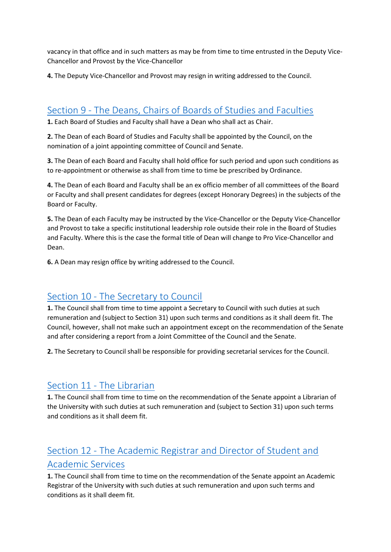vacancy in that office and in such matters as may be from time to time entrusted in the Deputy Vice-Chancellor and Provost by the Vice-Chancellor

**4.** The Deputy Vice-Chancellor and Provost may resign in writing addressed to the Council.

### Section 9 - [The Deans, Chairs of Boards of Studies and Faculties](https://www.keele.ac.uk/legalgovernancecompliance/governance/actcharterstatutesordinancesandregulations/universitystatutes/#section-9---the-deans,-chairs-of-boards-of-studies-and-faculties)

**1.** Each Board of Studies and Faculty shall have a Dean who shall act as Chair.

**2.** The Dean of each Board of Studies and Faculty shall be appointed by the Council, on the nomination of a joint appointing committee of Council and Senate.

**3.** The Dean of each Board and Faculty shall hold office for such period and upon such conditions as to re-appointment or otherwise as shall from time to time be prescribed by Ordinance.

**4.** The Dean of each Board and Faculty shall be an ex officio member of all committees of the Board or Faculty and shall present candidates for degrees (except Honorary Degrees) in the subjects of the Board or Faculty.

**5.** The Dean of each Faculty may be instructed by the Vice-Chancellor or the Deputy Vice-Chancellor and Provost to take a specific institutional leadership role outside their role in the Board of Studies and Faculty. Where this is the case the formal title of Dean will change to Pro Vice-Chancellor and Dean.

**6.** A Dean may resign office by writing addressed to the Council.

### Section 10 - [The Secretary to Council](https://www.keele.ac.uk/legalgovernancecompliance/governance/actcharterstatutesordinancesandregulations/universitystatutes/#section-10---the-secretary-to-council)

**1.** The Council shall from time to time appoint a Secretary to Council with such duties at such remuneration and (subject to Section 31) upon such terms and conditions as it shall deem fit. The Council, however, shall not make such an appointment except on the recommendation of the Senate and after considering a report from a Joint Committee of the Council and the Senate.

**2.** The Secretary to Council shall be responsible for providing secretarial services for the Council.

## Section 11 - [The Librarian](https://www.keele.ac.uk/legalgovernancecompliance/governance/actcharterstatutesordinancesandregulations/universitystatutes/#section-11---the-librarian)

**1.** The Council shall from time to time on the recommendation of the Senate appoint a Librarian of the University with such duties at such remuneration and (subject to Section 31) upon such terms and conditions as it shall deem fit.

# Section 12 - [The Academic Registrar and Director of Student and](https://www.keele.ac.uk/legalgovernancecompliance/governance/actcharterstatutesordinancesandregulations/universitystatutes/#section-12---the-academic-registrar-and-director-of-student-and-academic-services)  [Academic Services](https://www.keele.ac.uk/legalgovernancecompliance/governance/actcharterstatutesordinancesandregulations/universitystatutes/#section-12---the-academic-registrar-and-director-of-student-and-academic-services)

**1.** The Council shall from time to time on the recommendation of the Senate appoint an Academic Registrar of the University with such duties at such remuneration and upon such terms and conditions as it shall deem fit.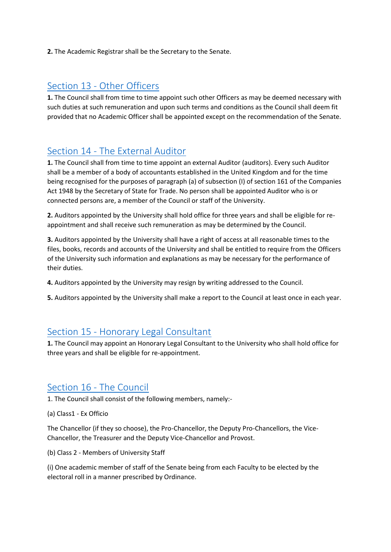**2.** The Academic Registrar shall be the Secretary to the Senate.

### Section 13 - [Other Officers](https://www.keele.ac.uk/legalgovernancecompliance/governance/actcharterstatutesordinancesandregulations/universitystatutes/#section-13---other-officers)

**1.** The Council shall from time to time appoint such other Officers as may be deemed necessary with such duties at such remuneration and upon such terms and conditions as the Council shall deem fit provided that no Academic Officer shall be appointed except on the recommendation of the Senate.

### Section 14 - [The External Auditor](https://www.keele.ac.uk/legalgovernancecompliance/governance/actcharterstatutesordinancesandregulations/universitystatutes/#section-14---the-external-auditor)

**1.** The Council shall from time to time appoint an external Auditor (auditors). Every such Auditor shall be a member of a body of accountants established in the United Kingdom and for the time being recognised for the purposes of paragraph (a) of subsection (I) of section 161 of the Companies Act 1948 by the Secretary of State for Trade. No person shall be appointed Auditor who is or connected persons are, a member of the Council or staff of the University.

**2.** Auditors appointed by the University shall hold office for three years and shall be eligible for reappointment and shall receive such remuneration as may be determined by the Council.

**3.** Auditors appointed by the University shall have a right of access at all reasonable times to the files, books, records and accounts of the University and shall be entitled to require from the Officers of the University such information and explanations as may be necessary for the performance of their duties.

- **4.** Auditors appointed by the University may resign by writing addressed to the Council.
- **5.** Auditors appointed by the University shall make a report to the Council at least once in each year.

### Section 15 - [Honorary Legal Consultant](https://www.keele.ac.uk/legalgovernancecompliance/governance/actcharterstatutesordinancesandregulations/universitystatutes/#section-15---honorary-legal-consultant)

**1.** The Council may appoint an Honorary Legal Consultant to the University who shall hold office for three years and shall be eligible for re-appointment.

### Section 16 - [The Council](https://www.keele.ac.uk/legalgovernancecompliance/governance/actcharterstatutesordinancesandregulations/universitystatutes/#section-16---the-council)

1. The Council shall consist of the following members, namely:-

(a) Class1 - Ex Officio

The Chancellor (if they so choose), the Pro-Chancellor, the Deputy Pro-Chancellors, the Vice-Chancellor, the Treasurer and the Deputy Vice-Chancellor and Provost.

(b) Class 2 - Members of University Staff

(i) One academic member of staff of the Senate being from each Faculty to be elected by the electoral roll in a manner prescribed by Ordinance.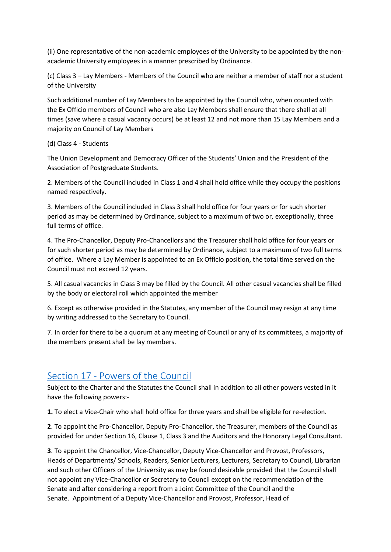(ii) One representative of the non-academic employees of the University to be appointed by the nonacademic University employees in a manner prescribed by Ordinance.

(c) Class 3 – Lay Members - Members of the Council who are neither a member of staff nor a student of the University

Such additional number of Lay Members to be appointed by the Council who, when counted with the Ex Officio members of Council who are also Lay Members shall ensure that there shall at all times (save where a casual vacancy occurs) be at least 12 and not more than 15 Lay Members and a majority on Council of Lay Members

#### (d) Class 4 - Students

The Union Development and Democracy Officer of the Students' Union and the President of the Association of Postgraduate Students.

2. Members of the Council included in Class 1 and 4 shall hold office while they occupy the positions named respectively.

3. Members of the Council included in Class 3 shall hold office for four years or for such shorter period as may be determined by Ordinance, subject to a maximum of two or, exceptionally, three full terms of office.

4. The Pro-Chancellor, Deputy Pro-Chancellors and the Treasurer shall hold office for four years or for such shorter period as may be determined by Ordinance, subject to a maximum of two full terms of office. Where a Lay Member is appointed to an Ex Officio position, the total time served on the Council must not exceed 12 years.

5. All casual vacancies in Class 3 may be filled by the Council. All other casual vacancies shall be filled by the body or electoral roll which appointed the member

6. Except as otherwise provided in the Statutes, any member of the Council may resign at any time by writing addressed to the Secretary to Council.

7. In order for there to be a quorum at any meeting of Council or any of its committees, a majority of the members present shall be lay members.

## Section 17 - [Powers of the Council](https://www.keele.ac.uk/legalgovernancecompliance/governance/actcharterstatutesordinancesandregulations/universitystatutes/#section-17---powers-of-the-council)

Subject to the Charter and the Statutes the Council shall in addition to all other powers vested in it have the following powers:-

**1.** To elect a Vice-Chair who shall hold office for three years and shall be eligible for re-election.

**2**. To appoint the Pro-Chancellor, Deputy Pro-Chancellor, the Treasurer, members of the Council as provided for under Section 16, Clause 1, Class 3 and the Auditors and the Honorary Legal Consultant.

**3**. To appoint the Chancellor, Vice-Chancellor, Deputy Vice-Chancellor and Provost, Professors, Heads of Departments/ Schools, Readers, Senior Lecturers, Lecturers, Secretary to Council, Librarian and such other Officers of the University as may be found desirable provided that the Council shall not appoint any Vice-Chancellor or Secretary to Council except on the recommendation of the Senate and after considering a report from a Joint Committee of the Council and the Senate. Appointment of a Deputy Vice-Chancellor and Provost, Professor, Head of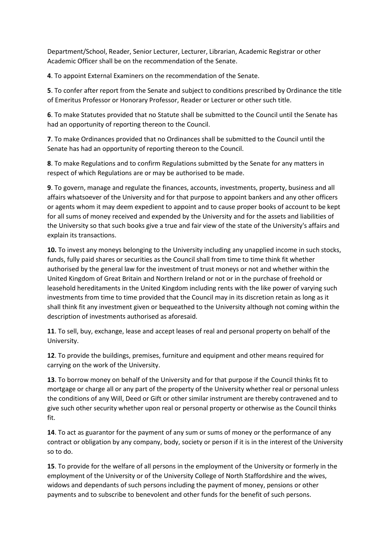Department/School, Reader, Senior Lecturer, Lecturer, Librarian, Academic Registrar or other Academic Officer shall be on the recommendation of the Senate.

**4**. To appoint External Examiners on the recommendation of the Senate.

**5**. To confer after report from the Senate and subject to conditions prescribed by Ordinance the title of Emeritus Professor or Honorary Professor, Reader or Lecturer or other such title.

**6**. To make Statutes provided that no Statute shall be submitted to the Council until the Senate has had an opportunity of reporting thereon to the Council.

**7**. To make Ordinances provided that no Ordinances shall be submitted to the Council until the Senate has had an opportunity of reporting thereon to the Council.

**8**. To make Regulations and to confirm Regulations submitted by the Senate for any matters in respect of which Regulations are or may be authorised to be made.

**9**. To govern, manage and regulate the finances, accounts, investments, property, business and all affairs whatsoever of the University and for that purpose to appoint bankers and any other officers or agents whom it may deem expedient to appoint and to cause proper books of account to be kept for all sums of money received and expended by the University and for the assets and liabilities of the University so that such books give a true and fair view of the state of the University's affairs and explain its transactions.

**10.** To invest any moneys belonging to the University including any unapplied income in such stocks, funds, fully paid shares or securities as the Council shall from time to time think fit whether authorised by the general law for the investment of trust moneys or not and whether within the United Kingdom of Great Britain and Northern Ireland or not or in the purchase of freehold or leasehold hereditaments in the United Kingdom including rents with the like power of varying such investments from time to time provided that the Council may in its discretion retain as long as it shall think fit any investment given or bequeathed to the University although not coming within the description of investments authorised as aforesaid.

**11**. To sell, buy, exchange, lease and accept leases of real and personal property on behalf of the University.

**12**. To provide the buildings, premises, furniture and equipment and other means required for carrying on the work of the University.

**13**. To borrow money on behalf of the University and for that purpose if the Council thinks fit to mortgage or charge all or any part of the property of the University whether real or personal unless the conditions of any Will, Deed or Gift or other similar instrument are thereby contravened and to give such other security whether upon real or personal property or otherwise as the Council thinks fit.

**14**. To act as guarantor for the payment of any sum or sums of money or the performance of any contract or obligation by any company, body, society or person if it is in the interest of the University so to do.

**15**. To provide for the welfare of all persons in the employment of the University or formerly in the employment of the University or of the University College of North Staffordshire and the wives, widows and dependants of such persons including the payment of money, pensions or other payments and to subscribe to benevolent and other funds for the benefit of such persons.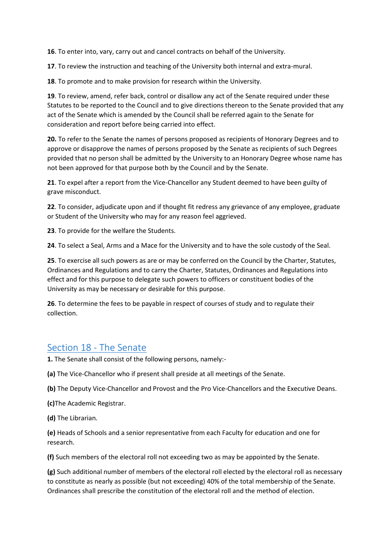**16**. To enter into, vary, carry out and cancel contracts on behalf of the University.

**17**. To review the instruction and teaching of the University both internal and extra-mural.

**18**. To promote and to make provision for research within the University.

**19**. To review, amend, refer back, control or disallow any act of the Senate required under these Statutes to be reported to the Council and to give directions thereon to the Senate provided that any act of the Senate which is amended by the Council shall be referred again to the Senate for consideration and report before being carried into effect.

**20.** To refer to the Senate the names of persons proposed as recipients of Honorary Degrees and to approve or disapprove the names of persons proposed by the Senate as recipients of such Degrees provided that no person shall be admitted by the University to an Honorary Degree whose name has not been approved for that purpose both by the Council and by the Senate.

**21**. To expel after a report from the Vice-Chancellor any Student deemed to have been guilty of grave misconduct.

**22**. To consider, adjudicate upon and if thought fit redress any grievance of any employee, graduate or Student of the University who may for any reason feel aggrieved.

**23**. To provide for the welfare the Students.

**24**. To select a Seal, Arms and a Mace for the University and to have the sole custody of the Seal.

**25**. To exercise all such powers as are or may be conferred on the Council by the Charter, Statutes, Ordinances and Regulations and to carry the Charter, Statutes, Ordinances and Regulations into effect and for this purpose to delegate such powers to officers or constituent bodies of the University as may be necessary or desirable for this purpose.

**26**. To determine the fees to be payable in respect of courses of study and to regulate their collection.

### [Section 18 -](https://www.keele.ac.uk/legalgovernancecompliance/governance/actcharterstatutesordinancesandregulations/universitystatutes/#section-18---the-senate) The Senate

**1.** The Senate shall consist of the following persons, namely:-

**(a)** The Vice-Chancellor who if present shall preside at all meetings of the Senate.

**(b)** The Deputy Vice-Chancellor and Provost and the Pro Vice-Chancellors and the Executive Deans.

**(c)**The Academic Registrar.

**(d)** The Librarian.

**(e)** Heads of Schools and a senior representative from each Faculty for education and one for research.

**(f)** Such members of the electoral roll not exceeding two as may be appointed by the Senate.

**(g)** Such additional number of members of the electoral roll elected by the electoral roll as necessary to constitute as nearly as possible (but not exceeding) 40% of the total membership of the Senate. Ordinances shall prescribe the constitution of the electoral roll and the method of election.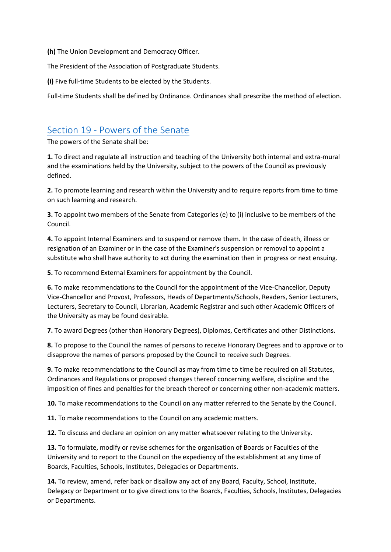**(h)** The Union Development and Democracy Officer.

The President of the Association of Postgraduate Students.

**(i)** Five full-time Students to be elected by the Students.

Full-time Students shall be defined by Ordinance. Ordinances shall prescribe the method of election.

### Section 19 - [Powers of the Senate](https://www.keele.ac.uk/legalgovernancecompliance/governance/actcharterstatutesordinancesandregulations/universitystatutes/#section-19---powers-of-the-senate)

The powers of the Senate shall be:

**1.** To direct and regulate all instruction and teaching of the University both internal and extra-mural and the examinations held by the University, subject to the powers of the Council as previously defined.

**2.** To promote learning and research within the University and to require reports from time to time on such learning and research.

**3.** To appoint two members of the Senate from Categories (e) to (i) inclusive to be members of the Council.

**4.** To appoint Internal Examiners and to suspend or remove them. In the case of death, illness or resignation of an Examiner or in the case of the Examiner's suspension or removal to appoint a substitute who shall have authority to act during the examination then in progress or next ensuing.

**5.** To recommend External Examiners for appointment by the Council.

**6.** To make recommendations to the Council for the appointment of the Vice-Chancellor, Deputy Vice-Chancellor and Provost, Professors, Heads of Departments/Schools, Readers, Senior Lecturers, Lecturers, Secretary to Council, Librarian, Academic Registrar and such other Academic Officers of the University as may be found desirable.

**7.** To award Degrees (other than Honorary Degrees), Diplomas, Certificates and other Distinctions.

**8.** To propose to the Council the names of persons to receive Honorary Degrees and to approve or to disapprove the names of persons proposed by the Council to receive such Degrees.

**9.** To make recommendations to the Council as may from time to time be required on all Statutes, Ordinances and Regulations or proposed changes thereof concerning welfare, discipline and the imposition of fines and penalties for the breach thereof or concerning other non-academic matters.

**10.** To make recommendations to the Council on any matter referred to the Senate by the Council.

**11.** To make recommendations to the Council on any academic matters.

**12.** To discuss and declare an opinion on any matter whatsoever relating to the University.

**13.** To formulate, modify or revise schemes for the organisation of Boards or Faculties of the University and to report to the Council on the expediency of the establishment at any time of Boards, Faculties, Schools, Institutes, Delegacies or Departments.

**14.** To review, amend, refer back or disallow any act of any Board, Faculty, School, Institute, Delegacy or Department or to give directions to the Boards, Faculties, Schools, lnstitutes, Delegacies or Departments.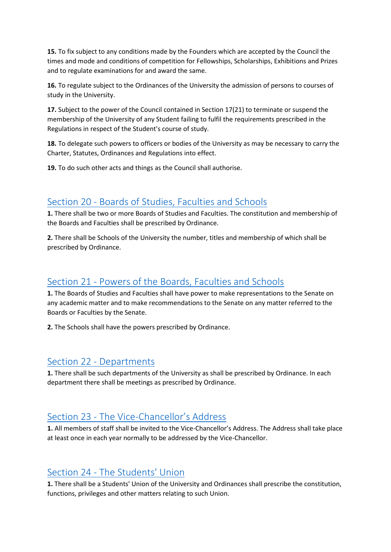**15.** To fix subject to any conditions made by the Founders which are accepted by the Council the times and mode and conditions of competition for Fellowships, Scholarships, Exhibitions and Prizes and to regulate examinations for and award the same.

**16.** To regulate subject to the Ordinances of the University the admission of persons to courses of study in the University.

**17.** Subject to the power of the Council contained in Section 17(21) to terminate or suspend the membership of the University of any Student failing to fulfil the requirements prescribed in the Regulations in respect of the Student's course of study.

**18.** To delegate such powers to officers or bodies of the University as may be necessary to carry the Charter, Statutes, Ordinances and Regulations into effect.

**19.** To do such other acts and things as the Council shall authorise.

## Section 20 - [Boards of Studies, Faculties and Schools](https://www.keele.ac.uk/legalgovernancecompliance/governance/actcharterstatutesordinancesandregulations/universitystatutes/#section-20---boards-of-studies,-faculties-and-schools)

**1.** There shall be two or more Boards of Studies and Faculties. The constitution and membership of the Boards and Faculties shall be prescribed by Ordinance.

**2.** There shall be Schools of the University the number, titles and membership of which shall be prescribed by Ordinance.

## Section 21 - [Powers of the Boards, Faculties and Schools](https://www.keele.ac.uk/legalgovernancecompliance/governance/actcharterstatutesordinancesandregulations/universitystatutes/#section-21---powers-of-the-boards,-faculties-and-schools)

**1.** The Boards of Studies and Faculties shall have power to make representations to the Senate on any academic matter and to make recommendations to the Senate on any matter referred to the Boards or Faculties by the Senate.

**2.** The Schools shall have the powers prescribed by Ordinance.

### Section 22 - [Departments](https://www.keele.ac.uk/legalgovernancecompliance/governance/actcharterstatutesordinancesandregulations/universitystatutes/#section-22---departments)

**1.** There shall be such departments of the University as shall be prescribed by Ordinance. In each department there shall be meetings as prescribed by Ordinance.

# Section 23 - The Vice-[Chancellor's Address](https://www.keele.ac.uk/legalgovernancecompliance/governance/actcharterstatutesordinancesandregulations/universitystatutes/#section-23---the-vice-chancellor%E2%80%99s-address)

**1.** All members of staff shall be invited to the Vice-Chancellor's Address. The Address shall take place at least once in each year normally to be addressed by the Vice-Chancellor.

### Section 24 - [The Students' Union](https://www.keele.ac.uk/legalgovernancecompliance/governance/actcharterstatutesordinancesandregulations/universitystatutes/#section-24---the-students)

**1.** There shall be a Students' Union of the University and Ordinances shall prescribe the constitution, functions, privileges and other matters relating to such Union.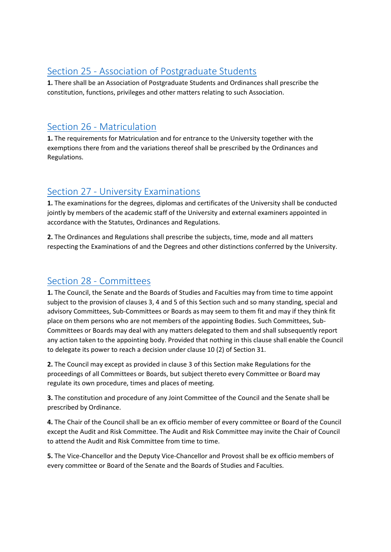## Section 25 - [Association of Postgraduate Students](https://www.keele.ac.uk/legalgovernancecompliance/governance/actcharterstatutesordinancesandregulations/universitystatutes/#section-25---association-of-postgraduate-students)

**1.** There shall be an Association of Postgraduate Students and Ordinances shall prescribe the constitution, functions, privileges and other matters relating to such Association.

## Section 26 - [Matriculation](https://www.keele.ac.uk/legalgovernancecompliance/governance/actcharterstatutesordinancesandregulations/universitystatutes/#section-26---matriculation)

**1.** The requirements for Matriculation and for entrance to the University together with the exemptions there from and the variations thereof shall be prescribed by the Ordinances and Regulations.

# Section 27 - [University Examinations](https://www.keele.ac.uk/legalgovernancecompliance/governance/actcharterstatutesordinancesandregulations/universitystatutes/#section-27---university-examinations)

**1.** The examinations for the degrees, diplomas and certificates of the University shall be conducted jointly by members of the academic staff of the University and external examiners appointed in accordance with the Statutes, Ordinances and Regulations.

**2.** The Ordinances and Regulations shall prescribe the subjects, time, mode and all matters respecting the Examinations of and the Degrees and other distinctions conferred by the University.

# Section 28 - [Committees](https://www.keele.ac.uk/legalgovernancecompliance/governance/actcharterstatutesordinancesandregulations/universitystatutes/#section-28---committees)

**1.** The Council, the Senate and the Boards of Studies and Faculties may from time to time appoint subject to the provision of clauses 3, 4 and 5 of this Section such and so many standing, special and advisory Committees, Sub-Committees or Boards as may seem to them fit and may if they think fit place on them persons who are not members of the appointing Bodies. Such Committees, Sub-Committees or Boards may deal with any matters delegated to them and shall subsequently report any action taken to the appointing body. Provided that nothing in this clause shall enable the Council to delegate its power to reach a decision under clause 10 (2) of Section 31.

**2.** The Council may except as provided in clause 3 of this Section make Regulations for the proceedings of all Committees or Boards, but subject thereto every Committee or Board may regulate its own procedure, times and places of meeting.

**3.** The constitution and procedure of any Joint Committee of the Council and the Senate shall be prescribed by Ordinance.

**4.** The Chair of the Council shall be an ex officio member of every committee or Board of the Council except the Audit and Risk Committee. The Audit and Risk Committee may invite the Chair of Council to attend the Audit and Risk Committee from time to time.

**5.** The Vice-Chancellor and the Deputy Vice-Chancellor and Provost shall be ex officio members of every committee or Board of the Senate and the Boards of Studies and Faculties.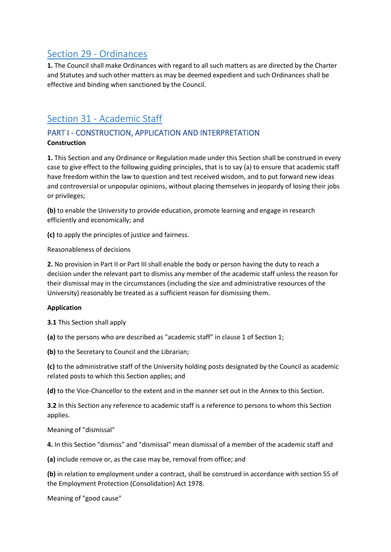### Section 29 - [Ordinances](https://www.keele.ac.uk/legalgovernancecompliance/governance/actcharterstatutesordinancesandregulations/universitystatutes/#section-29---ordinances)

**1.** The Council shall make Ordinances with regard to all such matters as are directed by the Charter and Statutes and such other matters as may be deemed expedient and such Ordinances shall be effective and binding when sanctioned by the Council.

### Section 31 - [Academic Staff](https://www.keele.ac.uk/legalgovernancecompliance/governance/actcharterstatutesordinancesandregulations/universitystatutes/#section-31---academic-staff)

### PART I - CONSTRUCTION, APPLICATION AND INTERPRETATION **Construction**

**1.** This Section and any Ordinance or Regulation made under this Section shall be construed in every case to give effect to the following guiding principles, that is to say (a) to ensure that academic staff have freedom within the law to question and test received wisdom, and to put forward new ideas and controversial or unpopular opinions, without placing themselves in jeopardy of losing their jobs or privileges;

**(b)** to enable the University to provide education, promote learning and engage in research efficiently and economically; and

**(c)** to apply the principles of justice and fairness.

Reasonableness of decisions

**2.** No provision in Part II or Part III shall enable the body or person having the duty to reach a decision under the relevant part to dismiss any member of the academic staff unless the reason for their dismissal may in the circumstances (including the size and administrative resources of the University) reasonably be treated as a sufficient reason for dismissing them.

### **Application**

**3.1** This Section shall apply

**(a)** to the persons who are described as "academic staff" in clause 1 of Section 1;

**(b)** to the Secretary to Council and the Librarian;

**(c)** to the administrative staff of the University holding posts designated by the Council as academic related posts to which this Section applies; and

**(d)** to the Vice-Chancellor to the extent and in the manner set out in the Annex to this Section.

**3.2** In this Section any reference to academic staff is a reference to persons to whom this Section applies.

Meaning of "dismissal"

**4.** In this Section "dismiss" and "dismissal" mean dismissal of a member of the academic staff and

**(a)** include remove or, as the case may be, removal from office; and

**(b)** in relation to employment under a contract, shall be construed in accordance with section 55 of the Employment Protection (Consolidation) Act 1978.

Meaning of "good cause"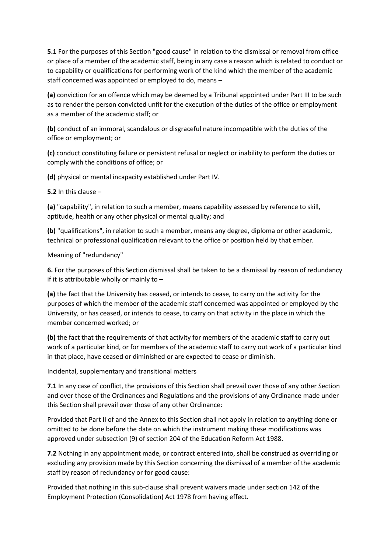**5.1** For the purposes of this Section "good cause" in relation to the dismissal or removal from office or place of a member of the academic staff, being in any case a reason which is related to conduct or to capability or qualifications for performing work of the kind which the member of the academic staff concerned was appointed or employed to do, means –

**(a)** conviction for an offence which may be deemed by a Tribunal appointed under Part III to be such as to render the person convicted unfit for the execution of the duties of the office or employment as a member of the academic staff; or

**(b)** conduct of an immoral, scandalous or disgraceful nature incompatible with the duties of the office or employment; or

**(c)** conduct constituting failure or persistent refusal or neglect or inability to perform the duties or comply with the conditions of office; or

**(d)** physical or mental incapacity established under Part IV.

**5.2** In this clause –

**(a)** "capability", in relation to such a member, means capability assessed by reference to skill, aptitude, health or any other physical or mental quality; and

**(b)** "qualifications", in relation to such a member, means any degree, diploma or other academic, technical or professional qualification relevant to the office or position held by that ember.

Meaning of "redundancy"

**6.** For the purposes of this Section dismissal shall be taken to be a dismissal by reason of redundancy if it is attributable wholly or mainly to  $-$ 

**(a)** the fact that the University has ceased, or intends to cease, to carry on the activity for the purposes of which the member of the academic staff concerned was appointed or employed by the University, or has ceased, or intends to cease, to carry on that activity in the place in which the member concerned worked; or

**(b)** the fact that the requirements of that activity for members of the academic staff to carry out work of a particular kind, or for members of the academic staff to carry out work of a particular kind in that place, have ceased or diminished or are expected to cease or diminish.

Incidental, supplementary and transitional matters

**7.1** In any case of conflict, the provisions of this Section shall prevail over those of any other Section and over those of the Ordinances and Regulations and the provisions of any Ordinance made under this Section shall prevail over those of any other Ordinance:

Provided that Part II of and the Annex to this Section shall not apply in relation to anything done or omitted to be done before the date on which the instrument making these modifications was approved under subsection (9) of section 204 of the Education Reform Act 1988.

**7.2** Nothing in any appointment made, or contract entered into, shall be construed as overriding or excluding any provision made by this Section concerning the dismissal of a member of the academic staff by reason of redundancy or for good cause:

Provided that nothing in this sub-clause shall prevent waivers made under section 142 of the Employment Protection (Consolidation) Act 1978 from having effect.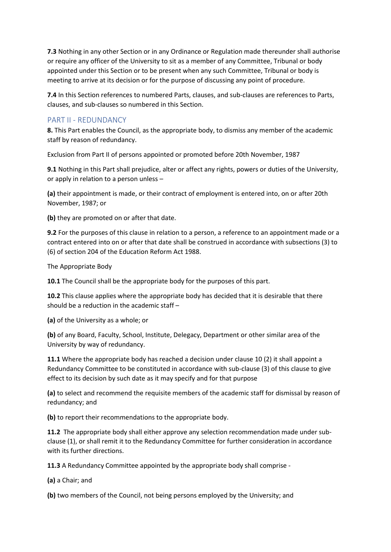**7.3** Nothing in any other Section or in any Ordinance or Regulation made thereunder shall authorise or require any officer of the University to sit as a member of any Committee, Tribunal or body appointed under this Section or to be present when any such Committee, Tribunal or body is meeting to arrive at its decision or for the purpose of discussing any point of procedure.

**7.4** In this Section references to numbered Parts, clauses, and sub-clauses are references to Parts, clauses, and sub-clauses so numbered in this Section.

### PART II - REDUNDANCY

**8.** This Part enables the Council, as the appropriate body, to dismiss any member of the academic staff by reason of redundancy.

Exclusion from Part II of persons appointed or promoted before 20th November, 1987

**9.1** Nothing in this Part shall prejudice, alter or affect any rights, powers or duties of the University, or apply in relation to a person unless –

**(a)** their appointment is made, or their contract of employment is entered into, on or after 20th November, 1987; or

**(b)** they are promoted on or after that date.

**9.2** For the purposes of this clause in relation to a person, a reference to an appointment made or a contract entered into on or after that date shall be construed in accordance with subsections (3) to (6) of section 204 of the Education Reform Act 1988.

The Appropriate Body

**10.1** The Council shall be the appropriate body for the purposes of this part.

**10.2** This clause applies where the appropriate body has decided that it is desirable that there should be a reduction in the academic staff –

**(a)** of the University as a whole; or

**(b)** of any Board, Faculty, School, Institute, Delegacy, Department or other similar area of the University by way of redundancy.

**11.1** Where the appropriate body has reached a decision under clause 10 (2) it shall appoint a Redundancy Committee to be constituted in accordance with sub-clause (3) of this clause to give effect to its decision by such date as it may specify and for that purpose

**(a)** to select and recommend the requisite members of the academic staff for dismissal by reason of redundancy; and

**(b)** to report their recommendations to the appropriate body.

**11.2** The appropriate body shall either approve any selection recommendation made under subclause (1), or shall remit it to the Redundancy Committee for further consideration in accordance with its further directions.

**11.3** A Redundancy Committee appointed by the appropriate body shall comprise -

**(a)** a Chair; and

**(b)** two members of the Council, not being persons employed by the University; and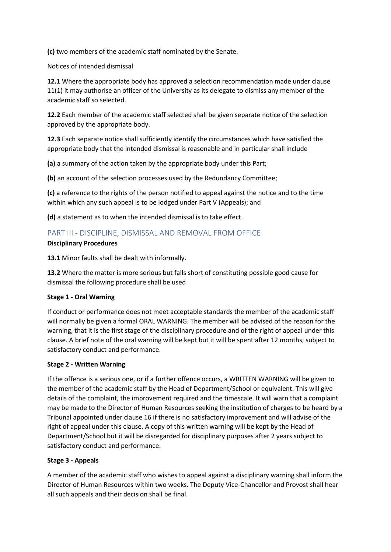**(c)** two members of the academic staff nominated by the Senate.

Notices of intended dismissal

**12.1** Where the appropriate body has approved a selection recommendation made under clause 11(1) it may authorise an officer of the University as its delegate to dismiss any member of the academic staff so selected.

**12.2** Each member of the academic staff selected shall be given separate notice of the selection approved by the appropriate body.

**12.3** Each separate notice shall sufficiently identify the circumstances which have satisfied the appropriate body that the intended dismissal is reasonable and in particular shall include

**(a)** a summary of the action taken by the appropriate body under this Part;

**(b)** an account of the selection processes used by the Redundancy Committee;

**(c)** a reference to the rights of the person notified to appeal against the notice and to the time within which any such appeal is to be lodged under Part V (Appeals); and

**(d)** a statement as to when the intended dismissal is to take effect.

### PART III - DISCIPLINE, DISMISSAL AND REMOVAL FROM OFFICE

#### **Disciplinary Procedures**

**13.1** Minor faults shall be dealt with informally.

**13.2** Where the matter is more serious but falls short of constituting possible good cause for dismissal the following procedure shall be used

#### **Stage 1 - Oral Warning**

If conduct or performance does not meet acceptable standards the member of the academic staff will normally be given a formal ORAL WARNING. The member will be advised of the reason for the warning, that it is the first stage of the disciplinary procedure and of the right of appeal under this clause. A brief note of the oral warning will be kept but it will be spent after 12 months, subject to satisfactory conduct and performance.

#### **Stage 2 - Written Warning**

If the offence is a serious one, or if a further offence occurs, a WRITTEN WARNING will be given to the member of the academic staff by the Head of Department/School or equivalent. This will give details of the complaint, the improvement required and the timescale. It will warn that a complaint may be made to the Director of Human Resources seeking the institution of charges to be heard by a Tribunal appointed under clause 16 if there is no satisfactory improvement and will advise of the right of appeal under this clause. A copy of this written warning will be kept by the Head of Department/School but it will be disregarded for disciplinary purposes after 2 years subject to satisfactory conduct and performance.

#### **Stage 3 - Appeals**

A member of the academic staff who wishes to appeal against a disciplinary warning shall inform the Director of Human Resources within two weeks. The Deputy Vice-Chancellor and Provost shall hear all such appeals and their decision shall be final.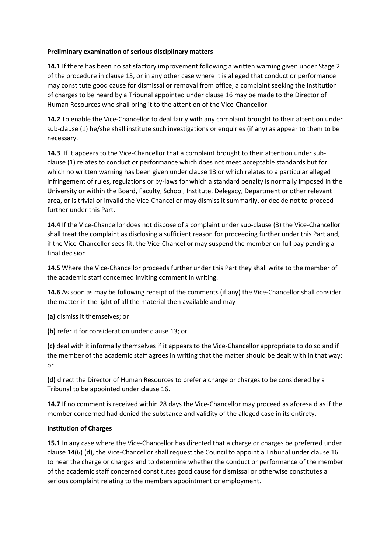#### **Preliminary examination of serious disciplinary matters**

**14.1** If there has been no satisfactory improvement following a written warning given under Stage 2 of the procedure in clause 13, or in any other case where it is alleged that conduct or performance may constitute good cause for dismissal or removal from office, a complaint seeking the institution of charges to be heard by a Tribunal appointed under clause 16 may be made to the Director of Human Resources who shall bring it to the attention of the Vice-Chancellor.

**14.2** To enable the Vice-Chancellor to deal fairly with any complaint brought to their attention under sub-clause (1) he/she shall institute such investigations or enquiries (if any) as appear to them to be necessary.

**14.3** If it appears to the Vice-Chancellor that a complaint brought to their attention under subclause (1) relates to conduct or performance which does not meet acceptable standards but for which no written warning has been given under clause 13 or which relates to a particular alleged infringement of rules, regulations or by-laws for which a standard penalty is normally imposed in the University or within the Board, Faculty, School, Institute, Delegacy, Department or other relevant area, or is trivial or invalid the Vice-Chancellor may dismiss it summarily, or decide not to proceed further under this Part.

**14.4** If the Vice-Chancellor does not dispose of a complaint under sub-clause (3) the Vice-Chancellor shall treat the complaint as disclosing a sufficient reason for proceeding further under this Part and, if the Vice-Chancellor sees fit, the Vice-Chancellor may suspend the member on full pay pending a final decision.

**14.5** Where the Vice-Chancellor proceeds further under this Part they shall write to the member of the academic staff concerned inviting comment in writing.

**14.6** As soon as may be following receipt of the comments (if any) the Vice-Chancellor shall consider the matter in the light of all the material then available and may -

**(a)** dismiss it themselves; or

**(b)** refer it for consideration under clause 13; or

**(c)** deal with it informally themselves if it appears to the Vice-Chancellor appropriate to do so and if the member of the academic staff agrees in writing that the matter should be dealt with in that way; or

**(d)** direct the Director of Human Resources to prefer a charge or charges to be considered by a Tribunal to be appointed under clause 16.

**14.7** If no comment is received within 28 days the Vice-Chancellor may proceed as aforesaid as if the member concerned had denied the substance and validity of the alleged case in its entirety.

#### **Institution of Charges**

**15.1** In any case where the Vice-Chancellor has directed that a charge or charges be preferred under clause 14(6) (d), the Vice-Chancellor shall request the Council to appoint a Tribunal under clause 16 to hear the charge or charges and to determine whether the conduct or performance of the member of the academic staff concerned constitutes good cause for dismissal or otherwise constitutes a serious complaint relating to the members appointment or employment.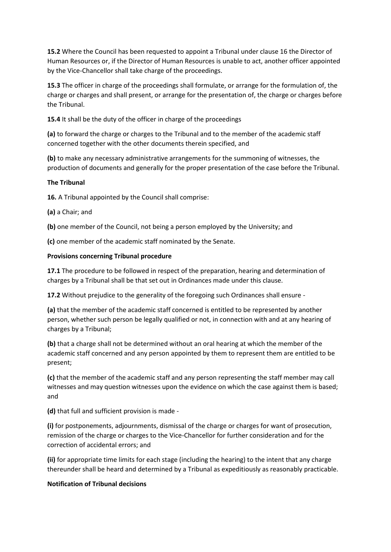**15.2** Where the Council has been requested to appoint a Tribunal under clause 16 the Director of Human Resources or, if the Director of Human Resources is unable to act, another officer appointed by the Vice-Chancellor shall take charge of the proceedings.

**15.3** The officer in charge of the proceedings shall formulate, or arrange for the formulation of, the charge or charges and shall present, or arrange for the presentation of, the charge or charges before the Tribunal.

**15.4** It shall be the duty of the officer in charge of the proceedings

**(a)** to forward the charge or charges to the Tribunal and to the member of the academic staff concerned together with the other documents therein specified, and

**(b)** to make any necessary administrative arrangements for the summoning of witnesses, the production of documents and generally for the proper presentation of the case before the Tribunal.

#### **The Tribunal**

**16.** A Tribunal appointed by the Council shall comprise:

**(a)** a Chair; and

**(b)** one member of the Council, not being a person employed by the University; and

**(c)** one member of the academic staff nominated by the Senate.

#### **Provisions concerning Tribunal procedure**

**17.1** The procedure to be followed in respect of the preparation, hearing and determination of charges by a Tribunal shall be that set out in Ordinances made under this clause.

**17.2** Without prejudice to the generality of the foregoing such Ordinances shall ensure -

**(a)** that the member of the academic staff concerned is entitled to be represented by another person, whether such person be legally qualified or not, in connection with and at any hearing of charges by a Tribunal;

**(b)** that a charge shall not be determined without an oral hearing at which the member of the academic staff concerned and any person appointed by them to represent them are entitled to be present;

**(c)** that the member of the academic staff and any person representing the staff member may call witnesses and may question witnesses upon the evidence on which the case against them is based; and

**(d)** that full and sufficient provision is made -

**(i)** for postponements, adjournments, dismissal of the charge or charges for want of prosecution, remission of the charge or charges to the Vice-Chancellor for further consideration and for the correction of accidental errors; and

**(ii)** for appropriate time limits for each stage (including the hearing) to the intent that any charge thereunder shall be heard and determined by a Tribunal as expeditiously as reasonably practicable.

#### **Notification of Tribunal decisions**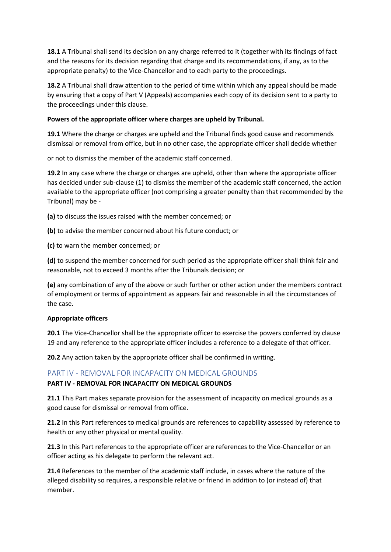**18.1** A Tribunal shall send its decision on any charge referred to it (together with its findings of fact and the reasons for its decision regarding that charge and its recommendations, if any, as to the appropriate penalty) to the Vice-Chancellor and to each party to the proceedings.

**18.2** A Tribunal shall draw attention to the period of time within which any appeal should be made by ensuring that a copy of Part V (Appeals) accompanies each copy of its decision sent to a party to the proceedings under this clause.

#### **Powers of the appropriate officer where charges are upheld by Tribunal.**

**19.1** Where the charge or charges are upheld and the Tribunal finds good cause and recommends dismissal or removal from office, but in no other case, the appropriate officer shall decide whether

or not to dismiss the member of the academic staff concerned.

**19.2** In any case where the charge or charges are upheld, other than where the appropriate officer has decided under sub-clause (1) to dismiss the member of the academic staff concerned, the action available to the appropriate officer (not comprising a greater penalty than that recommended by the Tribunal) may be -

**(a)** to discuss the issues raised with the member concerned; or

**(b)** to advise the member concerned about his future conduct; or

**(c)** to warn the member concerned; or

**(d)** to suspend the member concerned for such period as the appropriate officer shall think fair and reasonable, not to exceed 3 months after the Tribunals decision; or

**(e)** any combination of any of the above or such further or other action under the members contract of employment or terms of appointment as appears fair and reasonable in all the circumstances of the case.

#### **Appropriate officers**

**20.1** The Vice-Chancellor shall be the appropriate officer to exercise the powers conferred by clause 19 and any reference to the appropriate officer includes a reference to a delegate of that officer.

**20.2** Any action taken by the appropriate officer shall be confirmed in writing.

#### PART IV - REMOVAL FOR INCAPACITY ON MEDICAL GROUNDS

#### **PART IV - REMOVAL FOR INCAPACITY ON MEDICAL GROUNDS**

**21.1** This Part makes separate provision for the assessment of incapacity on medical grounds as a good cause for dismissal or removal from office.

**21.2** In this Part references to medical grounds are references to capability assessed by reference to health or any other physical or mental quality.

**21.3** In this Part references to the appropriate officer are references to the Vice-Chancellor or an officer acting as his delegate to perform the relevant act.

**21.4** References to the member of the academic staff include, in cases where the nature of the alleged disability so requires, a responsible relative or friend in addition to (or instead of) that member.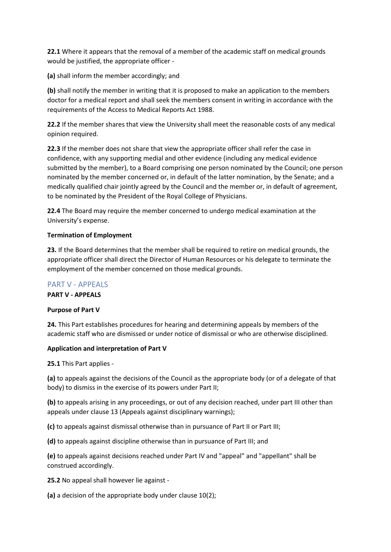**22.1** Where it appears that the removal of a member of the academic staff on medical grounds would be justified, the appropriate officer -

**(a)** shall inform the member accordingly; and

**(b)** shall notify the member in writing that it is proposed to make an application to the members doctor for a medical report and shall seek the members consent in writing in accordance with the requirements of the Access to Medical Reports Act 1988.

**22.2** If the member shares that view the University shall meet the reasonable costs of any medical opinion required.

**22.3** If the member does not share that view the appropriate officer shall refer the case in confidence, with any supporting medial and other evidence (including any medical evidence submitted by the member), to a Board comprising one person nominated by the Council; one person nominated by the member concerned or, in default of the latter nomination, by the Senate; and a medically qualified chair jointly agreed by the Council and the member or, in default of agreement, to be nominated by the President of the Royal College of Physicians.

**22.4** The Board may require the member concerned to undergo medical examination at the University's expense.

#### **Termination of Employment**

**23.** If the Board determines that the member shall be required to retire on medical grounds, the appropriate officer shall direct the Director of Human Resources or his delegate to terminate the employment of the member concerned on those medical grounds.

#### PART V - APPEALS

**PART V - APPEALS**

#### **Purpose of Part V**

**24.** This Part establishes procedures for hearing and determining appeals by members of the academic staff who are dismissed or under notice of dismissal or who are otherwise disciplined.

#### **Application and interpretation of Part V**

**25.1** This Part applies -

**(a)** to appeals against the decisions of the Council as the appropriate body (or of a delegate of that body) to dismiss in the exercise of its powers under Part II;

**(b)** to appeals arising in any proceedings, or out of any decision reached, under part III other than appeals under clause 13 (Appeals against disciplinary warnings);

**(c)** to appeals against dismissal otherwise than in pursuance of Part II or Part III;

**(d)** to appeals against discipline otherwise than in pursuance of Part III; and

**(e)** to appeals against decisions reached under Part IV and "appeal" and "appellant" shall be construed accordingly.

**25.2** No appeal shall however lie against -

**(a)** a decision of the appropriate body under clause 10(2);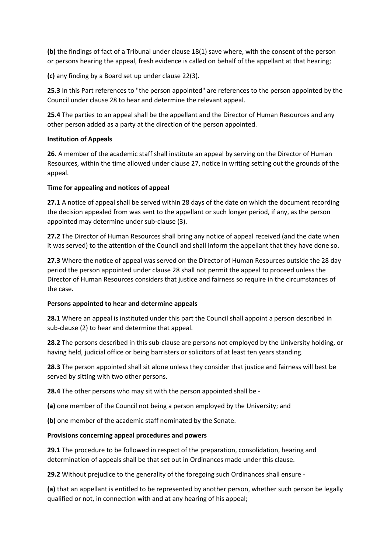**(b)** the findings of fact of a Tribunal under clause 18(1) save where, with the consent of the person or persons hearing the appeal, fresh evidence is called on behalf of the appellant at that hearing;

**(c)** any finding by a Board set up under clause 22(3).

**25.3** In this Part references to "the person appointed" are references to the person appointed by the Council under clause 28 to hear and determine the relevant appeal.

**25.4** The parties to an appeal shall be the appellant and the Director of Human Resources and any other person added as a party at the direction of the person appointed.

#### **Institution of Appeals**

**26.** A member of the academic staff shall institute an appeal by serving on the Director of Human Resources, within the time allowed under clause 27, notice in writing setting out the grounds of the appeal.

#### **Time for appealing and notices of appeal**

**27.1** A notice of appeal shall be served within 28 days of the date on which the document recording the decision appealed from was sent to the appellant or such longer period, if any, as the person appointed may determine under sub-clause (3).

**27.2** The Director of Human Resources shall bring any notice of appeal received (and the date when it was served) to the attention of the Council and shall inform the appellant that they have done so.

**27.3** Where the notice of appeal was served on the Director of Human Resources outside the 28 day period the person appointed under clause 28 shall not permit the appeal to proceed unless the Director of Human Resources considers that justice and fairness so require in the circumstances of the case.

#### **Persons appointed to hear and determine appeals**

**28.1** Where an appeal is instituted under this part the Council shall appoint a person described in sub-clause (2) to hear and determine that appeal.

**28.2** The persons described in this sub-clause are persons not employed by the University holding, or having held, judicial office or being barristers or solicitors of at least ten years standing.

**28.3** The person appointed shall sit alone unless they consider that justice and fairness will best be served by sitting with two other persons.

**28.4** The other persons who may sit with the person appointed shall be -

**(a)** one member of the Council not being a person employed by the University; and

**(b)** one member of the academic staff nominated by the Senate.

#### **Provisions concerning appeal procedures and powers**

**29.1** The procedure to be followed in respect of the preparation, consolidation, hearing and determination of appeals shall be that set out in Ordinances made under this clause.

**29.2** Without prejudice to the generality of the foregoing such Ordinances shall ensure -

**(a)** that an appellant is entitled to be represented by another person, whether such person be legally qualified or not, in connection with and at any hearing of his appeal;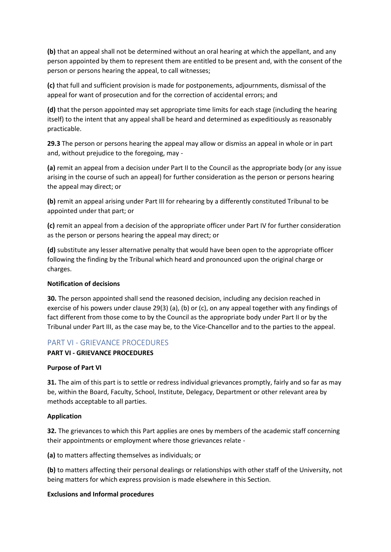**(b)** that an appeal shall not be determined without an oral hearing at which the appellant, and any person appointed by them to represent them are entitled to be present and, with the consent of the person or persons hearing the appeal, to call witnesses;

**(c)** that full and sufficient provision is made for postponements, adjournments, dismissal of the appeal for want of prosecution and for the correction of accidental errors; and

**(d)** that the person appointed may set appropriate time limits for each stage (including the hearing itself) to the intent that any appeal shall be heard and determined as expeditiously as reasonably practicable.

**29.3** The person or persons hearing the appeal may allow or dismiss an appeal in whole or in part and, without prejudice to the foregoing, may -

**(a)** remit an appeal from a decision under Part II to the Council as the appropriate body (or any issue arising in the course of such an appeal) for further consideration as the person or persons hearing the appeal may direct; or

**(b)** remit an appeal arising under Part III for rehearing by a differently constituted Tribunal to be appointed under that part; or

**(c)** remit an appeal from a decision of the appropriate officer under Part IV for further consideration as the person or persons hearing the appeal may direct; or

**(d)** substitute any lesser alternative penalty that would have been open to the appropriate officer following the finding by the Tribunal which heard and pronounced upon the original charge or charges.

#### **Notification of decisions**

**30.** The person appointed shall send the reasoned decision, including any decision reached in exercise of his powers under clause 29(3) (a), (b) or (c), on any appeal together with any findings of fact different from those come to by the Council as the appropriate body under Part II or by the Tribunal under Part III, as the case may be, to the Vice-Chancellor and to the parties to the appeal.

### PART VI - GRIEVANCE PROCEDURES

#### **PART VI - GRIEVANCE PROCEDURES**

#### **Purpose of Part VI**

**31.** The aim of this part is to settle or redress individual grievances promptly, fairly and so far as may be, within the Board, Faculty, School, Institute, Delegacy, Department or other relevant area by methods acceptable to all parties.

#### **Application**

**32.** The grievances to which this Part applies are ones by members of the academic staff concerning their appointments or employment where those grievances relate -

**(a)** to matters affecting themselves as individuals; or

**(b)** to matters affecting their personal dealings or relationships with other staff of the University, not being matters for which express provision is made elsewhere in this Section.

#### **Exclusions and Informal procedures**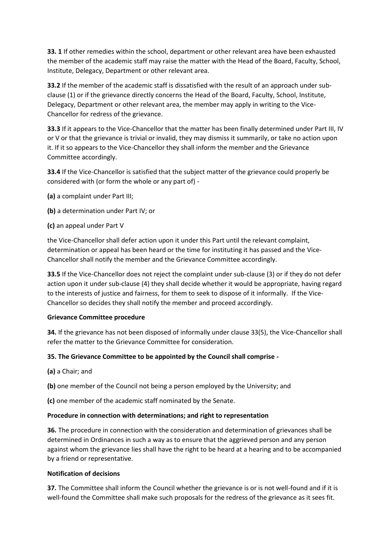**33. 1** If other remedies within the school, department or other relevant area have been exhausted the member of the academic staff may raise the matter with the Head of the Board, Faculty, School, Institute, Delegacy, Department or other relevant area.

**33.2** If the member of the academic staff is dissatisfied with the result of an approach under subclause (1) or if the grievance directly concerns the Head of the Board, Faculty, School, Institute, Delegacy, Department or other relevant area, the member may apply in writing to the Vice-Chancellor for redress of the grievance.

**33.3** If it appears to the Vice-Chancellor that the matter has been finally determined under Part III, IV or V or that the grievance is trivial or invalid, they may dismiss it summarily, or take no action upon it. If it so appears to the Vice-Chancellor they shall inform the member and the Grievance Committee accordingly.

**33.4** If the Vice-Chancellor is satisfied that the subject matter of the grievance could properly be considered with (or form the whole or any part of) -

- **(a)** a complaint under Part III;
- **(b)** a determination under Part IV; or
- **(c)** an appeal under Part V

the Vice-Chancellor shall defer action upon it under this Part until the relevant complaint, determination or appeal has been heard or the time for instituting it has passed and the Vice-Chancellor shall notify the member and the Grievance Committee accordingly.

**33.5** If the Vice-Chancellor does not reject the complaint under sub-clause (3) or if they do not defer action upon it under sub-clause (4) they shall decide whether it would be appropriate, having regard to the interests of justice and fairness, for them to seek to dispose of it informally. If the Vice-Chancellor so decides they shall notify the member and proceed accordingly.

#### **Grievance Committee procedure**

**34.** If the grievance has not been disposed of informally under clause 33(5), the Vice-Chancellor shall refer the matter to the Grievance Committee for consideration.

#### **35. The Grievance Committee to be appointed by the Council shall comprise -**

**(a)** a Chair; and

**(b)** one member of the Council not being a person employed by the University; and

**(c)** one member of the academic staff nominated by the Senate.

#### **Procedure in connection with determinations; and right to representation**

**36.** The procedure in connection with the consideration and determination of grievances shall be determined in Ordinances in such a way as to ensure that the aggrieved person and any person against whom the grievance lies shall have the right to be heard at a hearing and to be accompanied by a friend or representative.

#### **Notification of decisions**

**37.** The Committee shall inform the Council whether the grievance is or is not well-found and if it is well-found the Committee shall make such proposals for the redress of the grievance as it sees fit.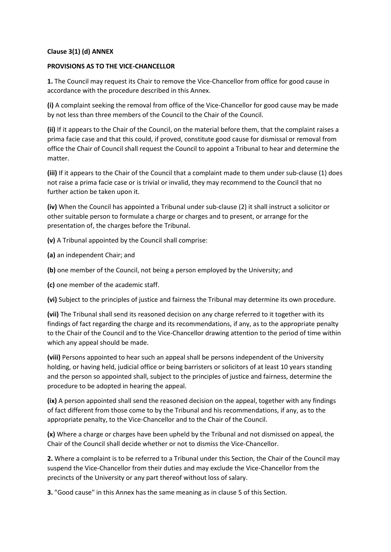#### **Clause 3(1) (d) ANNEX**

#### **PROVISIONS AS TO THE VICE-CHANCELLOR**

**1.** The Council may request its Chair to remove the Vice-Chancellor from office for good cause in accordance with the procedure described in this Annex.

**(i)** A complaint seeking the removal from office of the Vice-Chancellor for good cause may be made by not less than three members of the Council to the Chair of the Council.

**(ii)** If it appears to the Chair of the Council, on the material before them, that the complaint raises a prima facie case and that this could, if proved, constitute good cause for dismissal or removal from office the Chair of Council shall request the Council to appoint a Tribunal to hear and determine the matter.

**(iii)** If it appears to the Chair of the Council that a complaint made to them under sub-clause (1) does not raise a prima facie case or is trivial or invalid, they may recommend to the Council that no further action be taken upon it.

**(iv)** When the Council has appointed a Tribunal under sub-clause (2) it shall instruct a solicitor or other suitable person to formulate a charge or charges and to present, or arrange for the presentation of, the charges before the Tribunal.

**(v)** A Tribunal appointed by the Council shall comprise:

- **(a)** an independent Chair; and
- **(b)** one member of the Council, not being a person employed by the University; and

**(c)** one member of the academic staff.

**(vi)** Subject to the principles of justice and fairness the Tribunal may determine its own procedure.

**(vii)** The Tribunal shall send its reasoned decision on any charge referred to it together with its findings of fact regarding the charge and its recommendations, if any, as to the appropriate penalty to the Chair of the Council and to the Vice-Chancellor drawing attention to the period of time within which any appeal should be made.

**(viii)** Persons appointed to hear such an appeal shall be persons independent of the University holding, or having held, judicial office or being barristers or solicitors of at least 10 years standing and the person so appointed shall, subject to the principles of justice and fairness, determine the procedure to be adopted in hearing the appeal.

**(ix)** A person appointed shall send the reasoned decision on the appeal, together with any findings of fact different from those come to by the Tribunal and his recommendations, if any, as to the appropriate penalty, to the Vice-Chancellor and to the Chair of the Council.

**(x)** Where a charge or charges have been upheld by the Tribunal and not dismissed on appeal, the Chair of the Council shall decide whether or not to dismiss the Vice-Chancellor.

**2.** Where a complaint is to be referred to a Tribunal under this Section, the Chair of the Council may suspend the Vice-Chancellor from their duties and may exclude the Vice-Chancellor from the precincts of the University or any part thereof without loss of salary.

**3.** "Good cause" in this Annex has the same meaning as in clause 5 of this Section.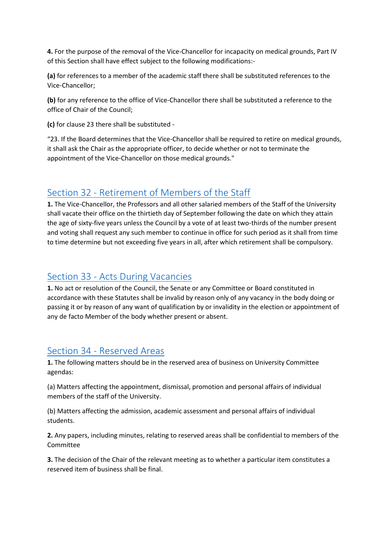**4.** For the purpose of the removal of the Vice-Chancellor for incapacity on medical grounds, Part IV of this Section shall have effect subject to the following modifications:-

**(a)** for references to a member of the academic staff there shall be substituted references to the Vice-Chancellor;

**(b)** for any reference to the office of Vice-Chancellor there shall be substituted a reference to the office of Chair of the Council;

**(c)** for clause 23 there shall be substituted -

"23. If the Board determines that the Vice-Chancellor shall be required to retire on medical grounds, it shall ask the Chair as the appropriate officer, to decide whether or not to terminate the appointment of the Vice-Chancellor on those medical grounds."

### Section 32 - [Retirement of Members of the Staff](https://www.keele.ac.uk/legalgovernancecompliance/governance/actcharterstatutesordinancesandregulations/universitystatutes/#section-32---retirement-of-members-of-the-staff)

**1.** The Vice-Chancellor, the Professors and all other salaried members of the Staff of the University shall vacate their office on the thirtieth day of September following the date on which they attain the age of sixty-five years unless the Council by a vote of at least two-thirds of the number present and voting shall request any such member to continue in office for such period as it shall from time to time determine but not exceeding five years in all, after which retirement shall be compulsory.

### Section 33 - [Acts During Vacancies](https://www.keele.ac.uk/legalgovernancecompliance/governance/actcharterstatutesordinancesandregulations/universitystatutes/#section-33---acts-during-vacancies)

**1.** No act or resolution of the Council, the Senate or any Committee or Board constituted in accordance with these Statutes shall be invalid by reason only of any vacancy in the body doing or passing it or by reason of any want of qualification by or invalidity in the election or appointment of any de facto Member of the body whether present or absent.

### Section 34 - [Reserved Areas](https://www.keele.ac.uk/legalgovernancecompliance/governance/actcharterstatutesordinancesandregulations/universitystatutes/#section-34---reserved-areas)

**1.** The following matters should be in the reserved area of business on University Committee agendas:

(a) Matters affecting the appointment, dismissal, promotion and personal affairs of individual members of the staff of the University.

(b) Matters affecting the admission, academic assessment and personal affairs of individual students.

**2.** Any papers, including minutes, relating to reserved areas shall be confidential to members of the Committee

**3.** The decision of the Chair of the relevant meeting as to whether a particular item constitutes a reserved item of business shall be final.